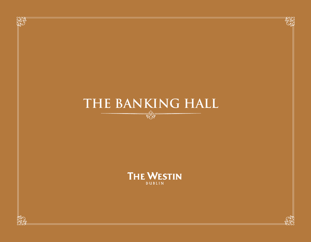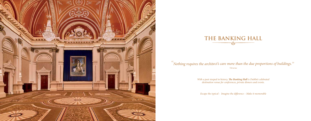*"Nothing requires the architect's care more than the due proportions of buildings. " Vitruvius*





*With a past steeped in history, The Banking Hall is Dublin's celebrated destination venue for conferences, private dinners and events.*

*Escape the typical - Imagine the difference – Make it memorable*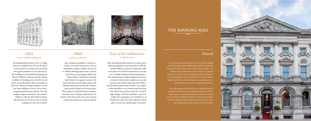*At the epicenter of Dublin City, the 5-star Westin Dublin and the Banking Hall straddle College and Westmoreland Streets and overlook legendary Trinity College Dublin. The Banking Hall, a destination venue with its own private entrance, over which the entry pediment depicts commerce as the central figure and on each side various agricultural, nautical and other commercial activities are represented, a fitting doorway for such an auspicious backdrop.*

*This unique space in Dublin city was originally designed to impress and it has been sensitively restored to reflect its former status. A wonderful equilibrium has been created between historic architectural glory and modern amenities so that the Banking Hall reclaims its prime position as the city's leading destination venue in the 21st century.* 

### *Present*





*The Banking Hall Entrance at No. 5 College Green was established in 1813 by The Royal Irish Institution to promote arts in Ireland with regular exhibitions by the old masters. The building was demolished and designed in 1863 by William G. Murray and then rebuilt in 1866 as the headquarters of the Provincial Bank, one of all Ireland's three main banks at that time. The grand design comprises a seven bay main building over three stories with a pompous pediment and columns, the relief sculptures depict colonialism. The architect William G. Murray died while in dispute with the bank over his fees as the cost of the building was twice the estimate!* 



*After trading successfully as a bank for a century, one which witnessed an array of tumultuous change in Dublin and society, in 1966 the Banking Hall became a branch of the then new grouping of Allied Irish Bank. While it operated as a bustling bank branch, the original encaustic tiles formed the floor and the high ceilings with elaborate plasterwork and marble columns gave positive displays of its former glory. These features ensured that bank customers knew this was no ordinary bank branch. Its location in the heart of the city centre ensured it the prime position in corporate Ireland.*



*With the Banking Hall restored to its former glory following significant construction from 1999, the Westin Dublin was opened in September 2001 in Numbers 35-39 Westmoreland Street, in what was a sizeable building and restoration project. The original hand carvings and plasterwork were returned to their earliest condition as were the encaustic tiles with the bank logo still visible in the foyer floor of the private entrance. Four replica crystal chandeliers were commissioned and hung from their prime positions from the 15 meters' high ceilings, with each chandelier 3 meters in height and comprising of over 8,000 pieces of Waterford Crystal. The much-admired stained glass roof was also replaced after restoration.* 



#### *1863 A new Dublin landmark*

### *1900's A place in history*

### *Turn of the millennium A distinct era*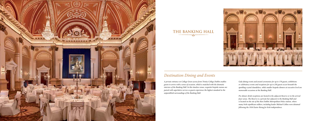*A private entrance on College Green across from Trinity College Dublin enables guests to arrive with a sense of occasion, which is matched with the dramatic interiors of the Banking Hall. In this timeless venue, exquisite bespoke menus are paired with superlative service so guests experience the highest standard in the unparalleled surroundings of the Banking Hall.*

*Gala dining events and award ceremonies for up to 170 guests, exhibitions or celebratory events and receptions for up to 250 guests occur beneath the sparkling crystal chandeliers, while smaller bespoke dinners at executive level are memorable occasions at the Banking Hall.*

*Pre-dinner drink receptions are hosted in the adjacent Reserve or in the arrival foyer areas. The Reserve is a private bar adjacent to the Banking Hall and is located on the site of the then Dublin Metropolitan Police station, where many Irish republican soldiers, including leader Michael Collins were detained following the 1916 Easter Rising for Irish independence.*



# *Destination Dining and Events*



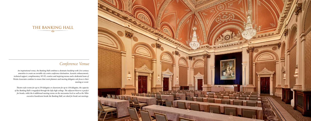*An inspirational venue, the Banking Hall combines a dramatic backdrop with 21st century amenities to create an enviable city centre conference destination. Acoustic enhancements, technical support, complimentary WI-FI, creative and inspiring menus and a dedicated team of Westin Associates combine to ensure that event planners and meeting delegates sole focus is their meeting or event.*

*Theatre style events for up to 270 delegates or classroom for up to 150 delegates, the capacity of the Banking Hall is magnified through the lofty high ceilings. The adjacent Reserve is perfect for breaks, while the 6 additional meeting rooms on the mezzanine level as well as the Teller executive boardroom beside the Banking Hall, are ideal for break-out meetings.*



# *Conference Venue*

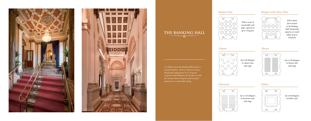*Up to 270 delegates in theatre style with stage*

*With a dance floor located in the Banking Hall, banqueting capacity on round tables of up to 140 guests*

*With a series of round tables and stage, capacity of up to 170 guests* 

*Up to 144 delegates in classroom style with stage*

# 00000000  $\begin{picture}(180,10) \put(0,0){\line(1,0){10}} \put(10,0){\line(1,0){10}} \put(10,0){\line(1,0){10}} \put(10,0){\line(1,0){10}} \put(10,0){\line(1,0){10}} \put(10,0){\line(1,0){10}} \put(10,0){\line(1,0){10}} \put(10,0){\line(1,0){10}} \put(10,0){\line(1,0){10}} \put(10,0){\line(1,0){10}} \put(10,0){\line(1,0){10}} \put(10,0){\line($

*Up to 90 delegates in cabaret style with stage*

> *Up to 60 delegates in hollow style*

### **THE BANKING HALL**-622

#### *Classroom*



#### *Cabaret*



#### *Banquet Style*



#### *Hollow*

*Theatre*



#### *Banquet with Dance Floor*



*As a blank canvas the Banking Hall provides a* 





*myriad of options. Various conference choices, banqueting ranging from 25 to 170 guests, receptions and exhibitions; the list goes on with the common theme being the optimum guest experience in a memorable setting.*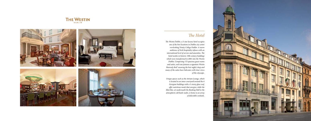*The Westin Dublin, a 5-star luxury hotel occupies one of the best locations in Dublin city centre overlooking Trinity College Dublin. A warm ambience of Irish hospitality infuses with an international level of service and amenities. The hotel nestles in historic 19th century buildings which were transformed in 2001 into the Westin Dublin. Comprising 172 spacious guest rooms and suites, each one features a signature Westin Heavenly Bed® ensuring the best night's sleep and many of the suites have balconies with clear views of the cityscape.*

*Unique spaces such as the Atrium Lounge, which is located in an inner courtyard around the 6 Georgian buildings with a 5-storey glass roof, offer nutritious meals that energise; while the Mint Bar, set underneath the Banking Hall in the atmospheric old bank vaults, is home to an array of delectable cocktails.* 



#### **THE WESTIN** DUBLIN



# *The Hotel*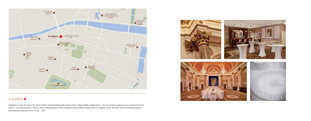*Neighbours on the doorstep of the Westin Dublin and the Banking Hall include Trinity College Dublin, Grafton Street – the city' premiere shopping street and the Temple Bar District– the cultural quarter. Within a short walking distance is the Convention Centre Dublin, Dublin Castle, St. Stephen's Green, the Dail- the Irish Parliament and the International Financial Services Centre – IFSC.*



## *Location*